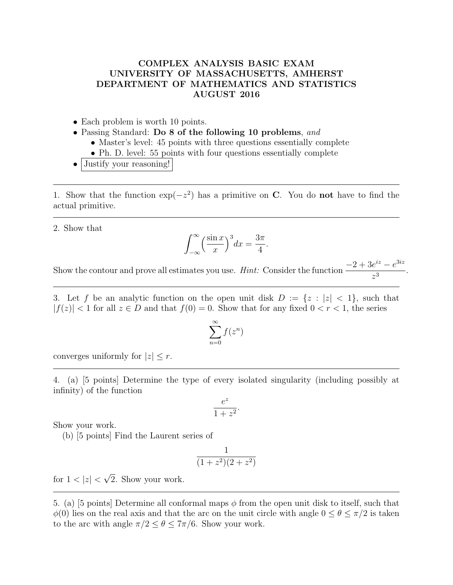## COMPLEX ANALYSIS BASIC EXAM UNIVERSITY OF MASSACHUSETTS, AMHERST DEPARTMENT OF MATHEMATICS AND STATISTICS AUGUST 2016

- Each problem is worth 10 points.
- Passing Standard: Do 8 of the following 10 problems, and
	- Master's level: 45 points with three questions essentially complete
	- Ph. D. level: 55 points with four questions essentially complete
- Justify your reasoning!

1. Show that the function  $\exp(-z^2)$  has a primitive on C. You do not have to find the actual primitive.

2. Show that

$$
\int_{-\infty}^{\infty} \left(\frac{\sin x}{x}\right)^3 dx = \frac{3\pi}{4}.
$$

Show the contour and prove all estimates you use. *Hint:* Consider the function  $\frac{-2 + 3e^{iz} - e^{3iz}}{i}$  $\frac{c}{z^3}$ .

3. Let f be an analytic function on the open unit disk  $D := \{z : |z| < 1\}$ , such that  $|f(z)| < 1$  for all  $z \in D$  and that  $f(0) = 0$ . Show that for any fixed  $0 < r < 1$ , the series

$$
\sum_{n=0}^{\infty} f(z^n)
$$

converges uniformly for  $|z| \leq r$ .

4. (a) [5 points] Determine the type of every isolated singularity (including possibly at infinity) of the function

$$
\frac{e^z}{1+z^2}.
$$

Show your work.

(b) [5 points] Find the Laurent series of

$$
\frac{1}{(1+z^2)(2+z^2)}
$$

for  $1 < |z| <$ √ 2. Show your work.

5. (a) [5 points] Determine all conformal maps  $\phi$  from the open unit disk to itself, such that  $\phi(0)$  lies on the real axis and that the arc on the unit circle with angle  $0 \le \theta \le \pi/2$  is taken to the arc with angle  $\pi/2 \leq \theta \leq 7\pi/6$ . Show your work.